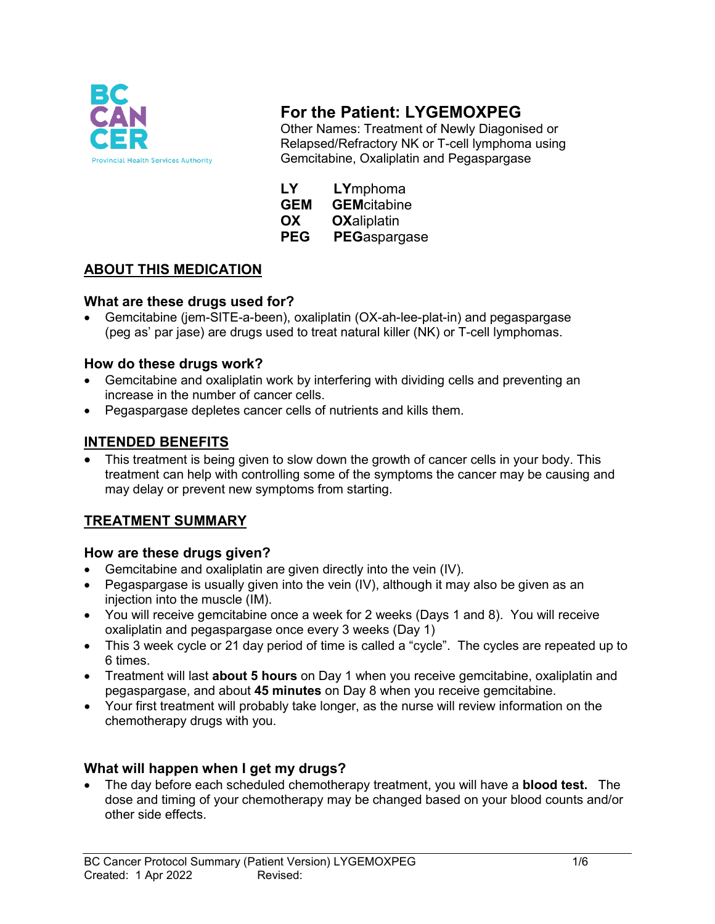

# **For the Patient: LYGEMOXPEG**

Other Names: Treatment of Newly Diagonised or Relapsed/Refractory NK or T-cell lymphoma using Gemcitabine, Oxaliplatin and Pegaspargase

| LY         | LYmphoma            |
|------------|---------------------|
| <b>GEM</b> | <b>GEM</b> citabine |
| OX         | <b>OXaliplatin</b>  |
| ---        | <b>BEA</b>          |

#### **PEG PEG**aspargase

## **ABOUT THIS MEDICATION**

#### **What are these drugs used for?**

• Gemcitabine (jem-SITE-a-been), oxaliplatin (OX-ah-lee-plat-in) and pegaspargase (peg as' par jase) are drugs used to treat natural killer (NK) or T-cell lymphomas.

#### **How do these drugs work?**

- Gemcitabine and oxaliplatin work by interfering with dividing cells and preventing an increase in the number of cancer cells.
- Pegaspargase depletes cancer cells of nutrients and kills them.

#### **INTENDED BENEFITS**

This treatment is being given to slow down the growth of cancer cells in your body. This treatment can help with controlling some of the symptoms the cancer may be causing and may delay or prevent new symptoms from starting.

### **TREATMENT SUMMARY**

#### **How are these drugs given?**

- Gemcitabine and oxaliplatin are given directly into the vein (IV).
- Pegaspargase is usually given into the vein (IV), although it may also be given as an injection into the muscle (IM).
- You will receive gemcitabine once a week for 2 weeks (Days 1 and 8). You will receive oxaliplatin and pegaspargase once every 3 weeks (Day 1)
- This 3 week cycle or 21 day period of time is called a "cycle". The cycles are repeated up to 6 times.
- Treatment will last **about 5 hours** on Day 1 when you receive gemcitabine, oxaliplatin and pegaspargase, and about **45 minutes** on Day 8 when you receive gemcitabine.
- Your first treatment will probably take longer, as the nurse will review information on the chemotherapy drugs with you.

### **What will happen when I get my drugs?**

• The day before each scheduled chemotherapy treatment, you will have a **blood test.** The dose and timing of your chemotherapy may be changed based on your blood counts and/or other side effects.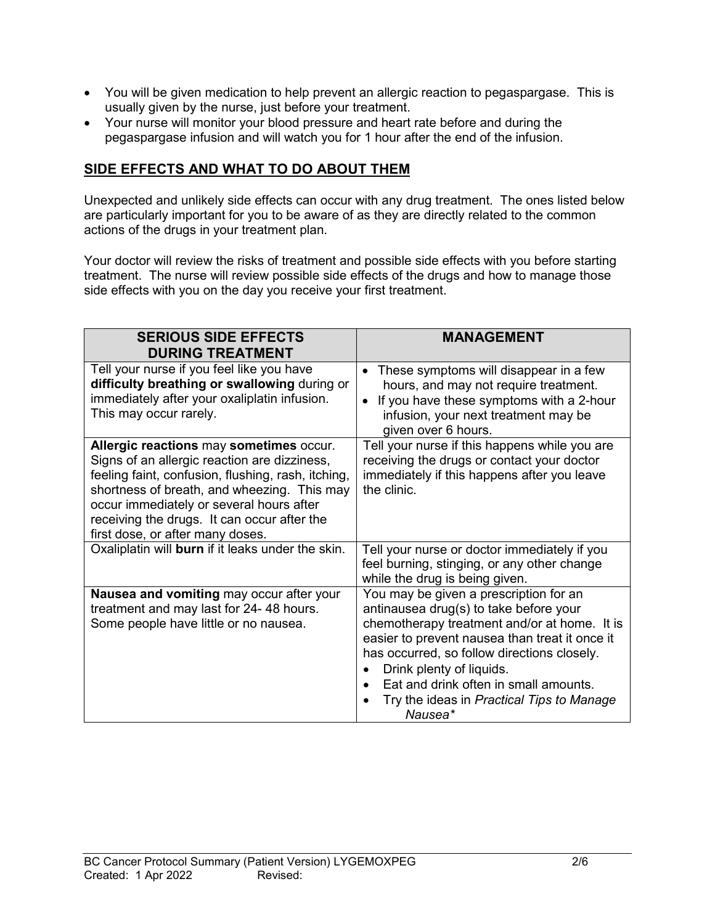- You will be given medication to help prevent an allergic reaction to pegaspargase. This is usually given by the nurse, just before your treatment.
- Your nurse will monitor your blood pressure and heart rate before and during the pegaspargase infusion and will watch you for 1 hour after the end of the infusion.

## **SIDE EFFECTS AND WHAT TO DO ABOUT THEM**

Unexpected and unlikely side effects can occur with any drug treatment. The ones listed below are particularly important for you to be aware of as they are directly related to the common actions of the drugs in your treatment plan.

Your doctor will review the risks of treatment and possible side effects with you before starting treatment. The nurse will review possible side effects of the drugs and how to manage those side effects with you on the day you receive your first treatment.

| <b>SERIOUS SIDE EFFECTS</b>                                                                                                                                                                                                                                                                                                 | <b>MANAGEMENT</b>                                                                                                                                                                                                                                                                                                                                              |
|-----------------------------------------------------------------------------------------------------------------------------------------------------------------------------------------------------------------------------------------------------------------------------------------------------------------------------|----------------------------------------------------------------------------------------------------------------------------------------------------------------------------------------------------------------------------------------------------------------------------------------------------------------------------------------------------------------|
| <b>DURING TREATMENT</b>                                                                                                                                                                                                                                                                                                     |                                                                                                                                                                                                                                                                                                                                                                |
| Tell your nurse if you feel like you have<br>difficulty breathing or swallowing during or<br>immediately after your oxaliplatin infusion.<br>This may occur rarely.                                                                                                                                                         | These symptoms will disappear in a few<br>$\bullet$<br>hours, and may not require treatment.<br>If you have these symptoms with a 2-hour<br>$\bullet$<br>infusion, your next treatment may be<br>given over 6 hours.                                                                                                                                           |
| Allergic reactions may sometimes occur.<br>Signs of an allergic reaction are dizziness,<br>feeling faint, confusion, flushing, rash, itching,<br>shortness of breath, and wheezing. This may<br>occur immediately or several hours after<br>receiving the drugs. It can occur after the<br>first dose, or after many doses. | Tell your nurse if this happens while you are<br>receiving the drugs or contact your doctor<br>immediately if this happens after you leave<br>the clinic.                                                                                                                                                                                                      |
| Oxaliplatin will burn if it leaks under the skin.                                                                                                                                                                                                                                                                           | Tell your nurse or doctor immediately if you<br>feel burning, stinging, or any other change<br>while the drug is being given.                                                                                                                                                                                                                                  |
| Nausea and vomiting may occur after your<br>treatment and may last for 24-48 hours.<br>Some people have little or no nausea.                                                                                                                                                                                                | You may be given a prescription for an<br>antinausea drug(s) to take before your<br>chemotherapy treatment and/or at home. It is<br>easier to prevent nausea than treat it once it<br>has occurred, so follow directions closely.<br>Drink plenty of liquids.<br>Eat and drink often in small amounts.<br>Try the ideas in Practical Tips to Manage<br>Nausea* |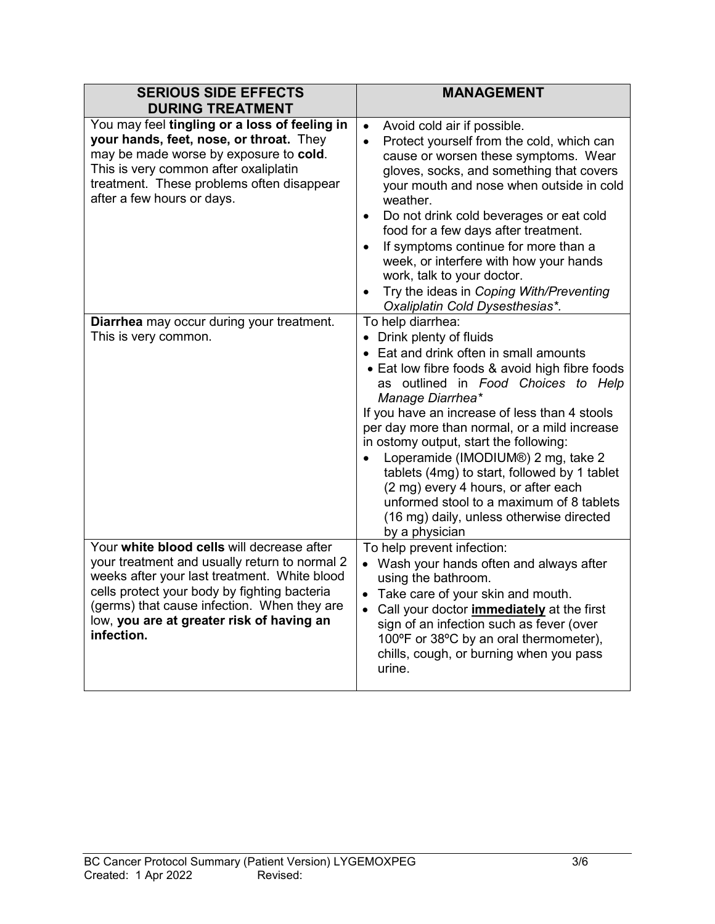| <b>SERIOUS SIDE EFFECTS</b><br><b>DURING TREATMENT</b>                                                                                                                                                                                                                                                | <b>MANAGEMENT</b>                                                                                                                                                                                                                                                                                                                                                                                                                                                                                                                                                                                   |
|-------------------------------------------------------------------------------------------------------------------------------------------------------------------------------------------------------------------------------------------------------------------------------------------------------|-----------------------------------------------------------------------------------------------------------------------------------------------------------------------------------------------------------------------------------------------------------------------------------------------------------------------------------------------------------------------------------------------------------------------------------------------------------------------------------------------------------------------------------------------------------------------------------------------------|
| You may feel tingling or a loss of feeling in<br>your hands, feet, nose, or throat. They<br>may be made worse by exposure to cold.<br>This is very common after oxaliplatin<br>treatment. These problems often disappear<br>after a few hours or days.                                                | Avoid cold air if possible.<br>$\bullet$<br>Protect yourself from the cold, which can<br>$\bullet$<br>cause or worsen these symptoms. Wear<br>gloves, socks, and something that covers<br>your mouth and nose when outside in cold<br>weather.<br>Do not drink cold beverages or eat cold<br>$\bullet$<br>food for a few days after treatment.<br>If symptoms continue for more than a<br>$\bullet$<br>week, or interfere with how your hands<br>work, talk to your doctor.<br>Try the ideas in Coping With/Preventing<br>$\bullet$<br>Oxaliplatin Cold Dysesthesias*.                              |
| Diarrhea may occur during your treatment.<br>This is very common.                                                                                                                                                                                                                                     | To help diarrhea:<br>• Drink plenty of fluids<br>• Eat and drink often in small amounts<br>• Eat low fibre foods & avoid high fibre foods<br>as outlined in Food Choices to Help<br>Manage Diarrhea*<br>If you have an increase of less than 4 stools<br>per day more than normal, or a mild increase<br>in ostomy output, start the following:<br>Loperamide (IMODIUM®) 2 mg, take 2<br>$\bullet$<br>tablets (4mg) to start, followed by 1 tablet<br>(2 mg) every 4 hours, or after each<br>unformed stool to a maximum of 8 tablets<br>(16 mg) daily, unless otherwise directed<br>by a physician |
| Your white blood cells will decrease after<br>your treatment and usually return to normal 2<br>weeks after your last treatment. White blood<br>cells protect your body by fighting bacteria<br>(germs) that cause infection. When they are<br>low, you are at greater risk of having an<br>infection. | To help prevent infection:<br>• Wash your hands often and always after<br>using the bathroom.<br>• Take care of your skin and mouth.<br>Call your doctor <i>immediately</i> at the first<br>$\bullet$<br>sign of an infection such as fever (over<br>100°F or 38°C by an oral thermometer),<br>chills, cough, or burning when you pass<br>urine.                                                                                                                                                                                                                                                    |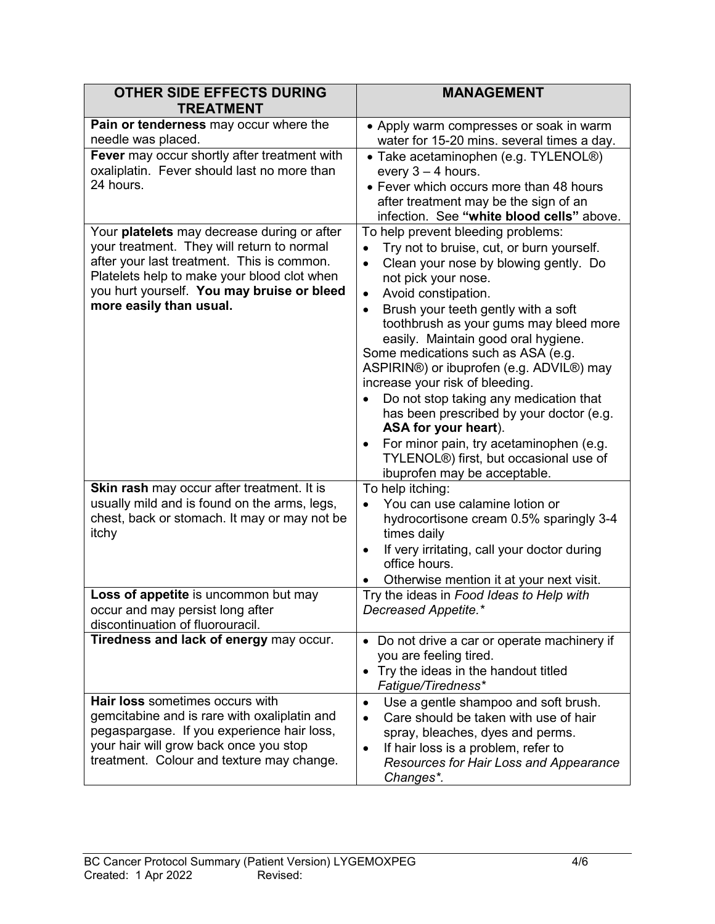| <b>OTHER SIDE EFFECTS DURING</b><br><b>TREATMENT</b>                                                                                                                                                                                                            | <b>MANAGEMENT</b>                                                                                                                                                                                                                                                                                                                                                                                                                                                                                                                                                                                                                                                                                                                                                    |
|-----------------------------------------------------------------------------------------------------------------------------------------------------------------------------------------------------------------------------------------------------------------|----------------------------------------------------------------------------------------------------------------------------------------------------------------------------------------------------------------------------------------------------------------------------------------------------------------------------------------------------------------------------------------------------------------------------------------------------------------------------------------------------------------------------------------------------------------------------------------------------------------------------------------------------------------------------------------------------------------------------------------------------------------------|
| Pain or tenderness may occur where the<br>needle was placed.<br>Fever may occur shortly after treatment with<br>oxaliplatin. Fever should last no more than<br>24 hours.                                                                                        | • Apply warm compresses or soak in warm<br>water for 15-20 mins. several times a day.<br>• Take acetaminophen (e.g. TYLENOL®)<br>every $3 - 4$ hours.<br>• Fever which occurs more than 48 hours<br>after treatment may be the sign of an                                                                                                                                                                                                                                                                                                                                                                                                                                                                                                                            |
| Your platelets may decrease during or after<br>your treatment. They will return to normal<br>after your last treatment. This is common.<br>Platelets help to make your blood clot when<br>you hurt yourself. You may bruise or bleed<br>more easily than usual. | infection. See "white blood cells" above.<br>To help prevent bleeding problems:<br>Try not to bruise, cut, or burn yourself.<br>$\bullet$<br>Clean your nose by blowing gently. Do<br>$\bullet$<br>not pick your nose.<br>Avoid constipation.<br>$\bullet$<br>Brush your teeth gently with a soft<br>$\bullet$<br>toothbrush as your gums may bleed more<br>easily. Maintain good oral hygiene.<br>Some medications such as ASA (e.g.<br>ASPIRIN®) or ibuprofen (e.g. ADVIL®) may<br>increase your risk of bleeding.<br>Do not stop taking any medication that<br>has been prescribed by your doctor (e.g.<br>ASA for your heart).<br>For minor pain, try acetaminophen (e.g.<br>$\bullet$<br>TYLENOL®) first, but occasional use of<br>ibuprofen may be acceptable. |
| Skin rash may occur after treatment. It is<br>usually mild and is found on the arms, legs,<br>chest, back or stomach. It may or may not be<br>itchy<br>Loss of appetite is uncommon but may                                                                     | To help itching:<br>You can use calamine lotion or<br>$\bullet$<br>hydrocortisone cream 0.5% sparingly 3-4<br>times daily<br>If very irritating, call your doctor during<br>$\bullet$<br>office hours.<br>Otherwise mention it at your next visit.<br>Try the ideas in Food Ideas to Help with                                                                                                                                                                                                                                                                                                                                                                                                                                                                       |
| occur and may persist long after<br>discontinuation of fluorouracil.<br>Tiredness and lack of energy may occur.                                                                                                                                                 | Decreased Appetite.*<br>• Do not drive a car or operate machinery if<br>you are feeling tired.<br>Try the ideas in the handout titled<br>$\bullet$<br>Fatigue/Tiredness*                                                                                                                                                                                                                                                                                                                                                                                                                                                                                                                                                                                             |
| Hair loss sometimes occurs with<br>gemcitabine and is rare with oxaliplatin and<br>pegaspargase. If you experience hair loss,<br>your hair will grow back once you stop<br>treatment. Colour and texture may change.                                            | Use a gentle shampoo and soft brush.<br>$\bullet$<br>Care should be taken with use of hair<br>$\bullet$<br>spray, bleaches, dyes and perms.<br>If hair loss is a problem, refer to<br>٠<br>Resources for Hair Loss and Appearance<br>Changes*.                                                                                                                                                                                                                                                                                                                                                                                                                                                                                                                       |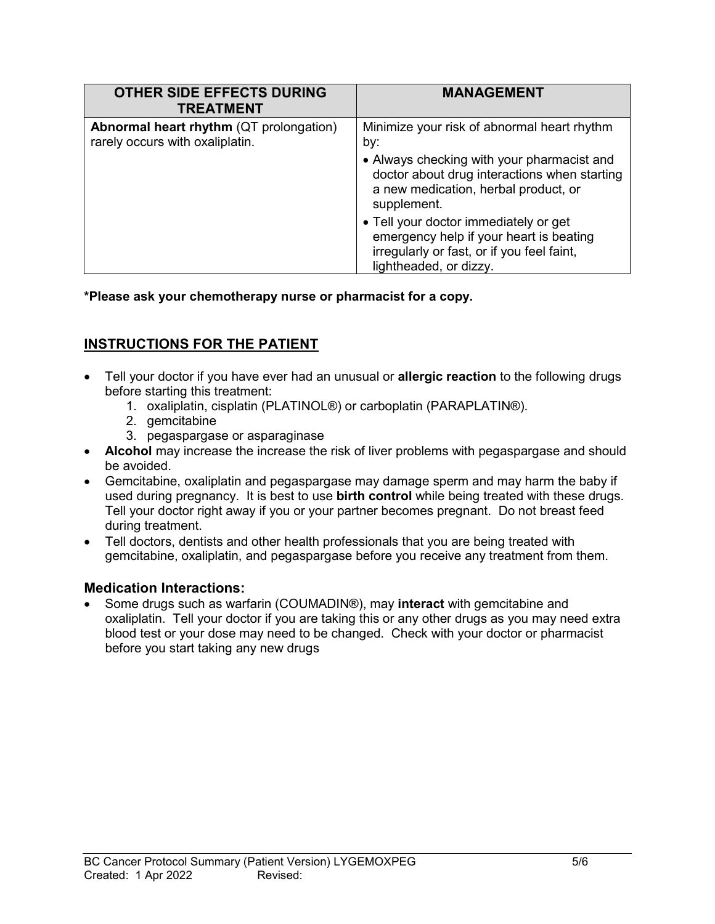| <b>OTHER SIDE EFFECTS DURING</b><br><b>TREATMENT</b>                              | <b>MANAGEMENT</b>                                                                                                                                        |
|-----------------------------------------------------------------------------------|----------------------------------------------------------------------------------------------------------------------------------------------------------|
| <b>Abnormal heart rhythm (QT prolongation)</b><br>rarely occurs with oxaliplatin. | Minimize your risk of abnormal heart rhythm<br>by:                                                                                                       |
|                                                                                   | • Always checking with your pharmacist and<br>doctor about drug interactions when starting<br>a new medication, herbal product, or<br>supplement.        |
|                                                                                   | • Tell your doctor immediately or get<br>emergency help if your heart is beating<br>irregularly or fast, or if you feel faint,<br>lightheaded, or dizzy. |

**\*Please ask your chemotherapy nurse or pharmacist for a copy.**

# **INSTRUCTIONS FOR THE PATIENT**

- Tell your doctor if you have ever had an unusual or **allergic reaction** to the following drugs before starting this treatment:
	- 1. oxaliplatin, cisplatin (PLATINOL®) or carboplatin (PARAPLATIN®).
	- 2. gemcitabine
	- 3. pegaspargase or asparaginase
- **Alcohol** may increase the increase the risk of liver problems with pegaspargase and should be avoided.
- Gemcitabine, oxaliplatin and pegaspargase may damage sperm and may harm the baby if used during pregnancy. It is best to use **birth control** while being treated with these drugs. Tell your doctor right away if you or your partner becomes pregnant. Do not breast feed during treatment.
- Tell doctors, dentists and other health professionals that you are being treated with gemcitabine, oxaliplatin, and pegaspargase before you receive any treatment from them.

### **Medication Interactions:**

• Some drugs such as warfarin (COUMADIN®), may **interact** with gemcitabine and oxaliplatin. Tell your doctor if you are taking this or any other drugs as you may need extra blood test or your dose may need to be changed. Check with your doctor or pharmacist before you start taking any new drugs